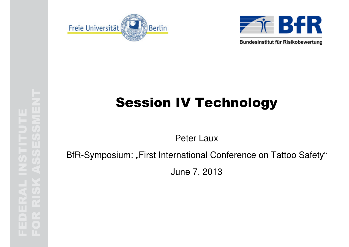



Bundesinstitut für Risikobewertung

# Session IV Technology<br>
Peter Laux<br>
BfR-Symposium: "First International Conference on Tattoo Safety"<br>
June 7, 2013<br>
Made on Tattoo Safety"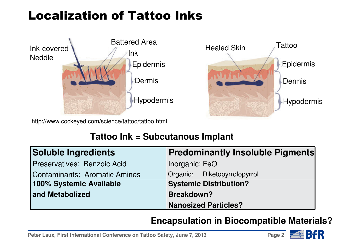# Localization of Tattoo Inks



http://www.cockeyed.com/science/tattoo/tattoo.html

#### **Tattoo Ink = Subcutanous Implant**

| Soluble Ingredients                | <b>Predominantly Insoluble Pigments</b> |  |
|------------------------------------|-----------------------------------------|--|
| <b>Preservatives: Benzoic Acid</b> | Inorganic: FeO                          |  |
| Contaminants: Aromatic Amines      | Organic: Diketopyrrolopyrrol            |  |
| 100% Systemic Available            | <b>Systemic Distribution?</b>           |  |
| and Metabolized                    | <b>Breakdown?</b>                       |  |
|                                    | <b>Nanosized Particles?</b>             |  |

#### **Encapsulation in Biocompatible Materials?**

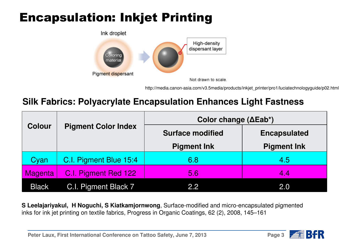# Encapsulation: Inkjet Printing



http://media.canon-asia.com/v3.5media/products/inkjet\_printer/pro1/luciatechnologyguide/p02.html

#### **Silk Fabrics: Polyacrylate Encapsulation Enhances Light Fastness**

| <b>Colour</b>  | <b>Pigment Color Index</b> | Color change $(\Delta Eab^*)$ |                     |  |
|----------------|----------------------------|-------------------------------|---------------------|--|
|                |                            | <b>Surface modified</b>       | <b>Encapsulated</b> |  |
|                |                            | <b>Pigment Ink</b>            | <b>Pigment Ink</b>  |  |
| Cyan           | C.I. Pigment Blue 15:4     | 6.8                           | 4.5                 |  |
| <b>Magenta</b> | C.I. Pigment Red 122       | 5.6                           | 4.4                 |  |
| <b>Black</b>   | C.I. Pigment Black 7       | 2.2                           | 2.0                 |  |

**S Leelajariyakul, H Noguchi, S Kiatkamjornwong**, Surface-modified and micro-encapsulated pigmentedinks for ink jet printing on textile fabrics, Progress in Organic Coatings, 62 (2), 2008, 145–161

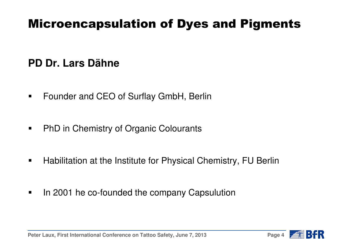# Microencapsulation of Dyes and Pigments

#### **PD Dr. Lars Dähne**

- $\blacksquare$ Founder and CEO of Surflay GmbH, Berlin
- $\blacksquare$ PhD in Chemistry of Organic Colourants
- $\blacksquare$ Habilitation at the Institute for Physical Chemistry, FU Berlin
- $\blacksquare$ In 2001 he co-founded the company Capsulution

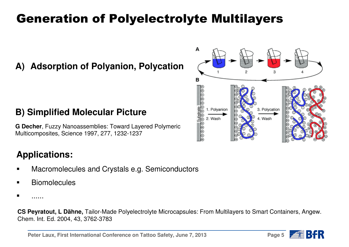# Generation of Polyelectrolyte Multilayers

#### **A) Adsorption of Polyanion, Polycation**

#### A R 1. Polvanion 3. Polycation ∍ิ∣ี 4. Wash 2. Wash  $\Theta \oplus \Theta \oplus \Theta$

#### **B) Simplified Molecular Picture**

**G Decher**, Fuzzy Nanoassemblies: Toward Layered Polymeric Multicomposites, Science 1997, 277, 1232-1237

#### **Applications:**

- Macromolecules and Crystals e.g. Semiconductors
- **Biomolecules**

**CS Peyratout, L Dähne,** Tailor-Made Polyelectrolyte Microcapsules: From Multilayers to Smart Containers, Angew. Chem. Int. Ed. 2004, 43, 3762-3783



<sup>■</sup> ......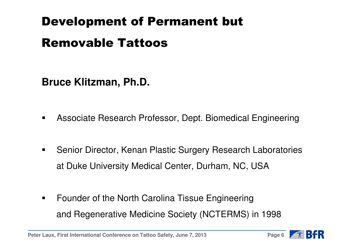# Development of Permanent but

### Removable Tattoos

**Bruce Klitzman, Ph.D.**

- $\blacksquare$ Associate Research Professor, Dept. Biomedical Engineering
- н Senior Director, Kenan Plastic Surgery Research Laboratoriesat Duke University Medical Center, Durham, NC, USA
- $\blacksquare$  Founder of the North Carolina Tissue Engineeringand Regenerative Medicine Society (NCTERMS) in 1998

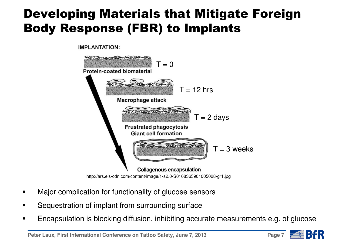# Developing Materials that Mitigate Foreign Body Response (FBR) to Implants

**IMPLANTATION:** 



- Major complication for functionality of glucose sensors
- Sequestration of implant from surrounding surface
- Encapsulation is blocking diffusion, inhibiting accurate measurements e.g. of glucose

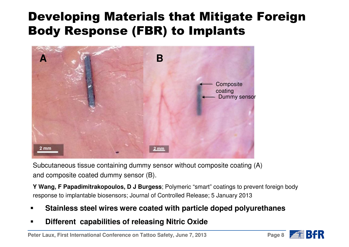# Developing Materials that Mitigate Foreign Body Response (FBR) to Implants



Subcutaneous tissue containing dummy sensor without composite coating (A)and composite coated dummy sensor (B).

**Y Wang, F Papadimitrakopoulos, D J Burgess**; Polymeric "smart" coatings to prevent foreign bodyresponse to implantable biosensors; Journal of Controlled Release; 5 January 2013

- п **Stainless steel wires were coated with particle doped polyurethanes**
- **Different capabilities of releasing Nitric Oxide**

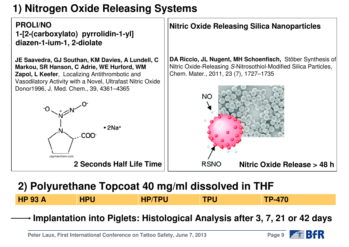### **1) Nitrogen Oxide Releasing Systems**

**PROLI/NO 1-[2-(carboxylato) pyrrolidin-1-yl] diazen-1-ium-1, 2-diolate**

**JE Saavedra, GJ Southan, KM Davies, A Lundell, C DA Riccio, JL Nugent, MH Schoenfisch,** Stöber Synthesis of **Markou, SR Hanson, C Adrie, WE Hurford, WM** Nitric Oxide-Releasing S-Nitrosothiol-Modified Silica Particles, **Zapol, L Keefer**, Localizing Antithrombotic and Chem. Mater., 2011, 23 (7), 1727–1735Vasodilatory Activity with a Novel, Ultrafast Nitric Oxide Donor1996, J. Med. Chem., 39, 4361–4365**NC**  $-2$ Na<sup>+</sup> COC caymanchem.com**2 Seconds Half Life TimeNitric Oxide Release > 48 h**

#### **2) Polyurethane Topcoat 40 mg/ml dissolved in THF**

|  | <b>OO A</b><br>.<br>$\sqrt{ }$<br>$\bullet\bullet$ | .<br>$\sim$<br>. . | . | ----<br>- - | $= 4$ |
|--|----------------------------------------------------|--------------------|---|-------------|-------|
|--|----------------------------------------------------|--------------------|---|-------------|-------|

**Implantation into Piglets: Histological Analysis after 3, 7, 21 or 42 days**

$$
\mathsf{Page}\ 9 \quad \overline{\blacktriangleleft} \quad \boxed{\color{red}\square}
$$

**Nitric Oxide Releasing Silica Nanoparticles**

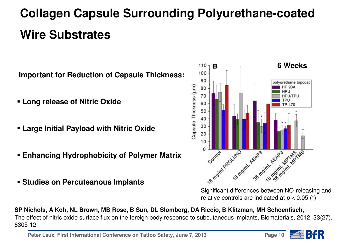# **Collagen Capsule Surrounding Polyurethane-coated Wire Substrates**

**Important for Reduction of Capsule Thickness:**

- **Long release of Nitric Oxide**
- **Large Initial Payload with Nitric Oxide**
- **Enhancing Hydrophobicity of Polymer Matrix**
- **Studies on Percuteanous Implants**



Significant differences between NO-releasing andrelative controls are indicated at  $p < 0.05$  (\*)

**SP Nichols, A Koh, NL Brown, MB Rose, B Sun, DL Slomberg, DA Riccio, B Klitzman, MH Schoenfisch,**The effect of nitric oxide surface flux on the foreign body response to subcutaneous implants, Biomaterials, 2012, 33(27), 6305-12

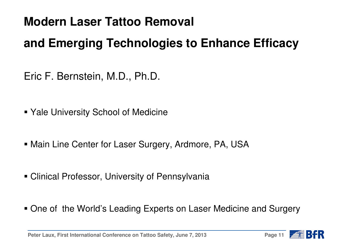# **Modern Laser Tattoo Removal**

# **and Emerging Technologies to Enhance Efficacy**

- Eric F. Bernstein, M.D., Ph.D.
- Yale University School of Medicine
- Main Line Center for Laser Surgery, Ardmore, PA, USA
- Clinical Professor, University of Pennsylvania
- One of the World's Leading Experts on Laser Medicine and Surgery

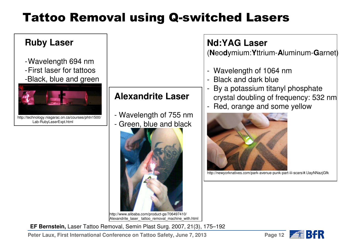# Tattoo Removal using Q-switched Lasers

#### **Ruby Laser**

- -Wavelength 694 nm
- -First laser for tattoos-Black, blue and green



**Alexandrite Laser**

- Wavelength of 755 nm- Gre<u>en, blue and bla</u>ck



http://www.alibaba.com/product-gs/706497410/ Alexandrite\_laser\_ tattoo\_removal\_machine\_with.html

#### **Nd:YAG Laser**

(**N**eo**d**ymium:**Y**ttrium-**A**luminum-**G**arnet)

- -Wavelength of 1064 nm
- -Black and dark blue
- By a potassium titanyl phosphate crystal doubling of frequency: 532 nm
- -Red, orange and some yellow



http://newyorknatives.com/park-avenue-punk-part-iii-scars/#.UayNNazjGfk

**EF Bernstein,** Laser Tattoo Removal, Semin Plast Surg. 2007, 21(3), 175–192

**Peter Laux, First International Conference on Tattoo Safety, June 7, 2013**